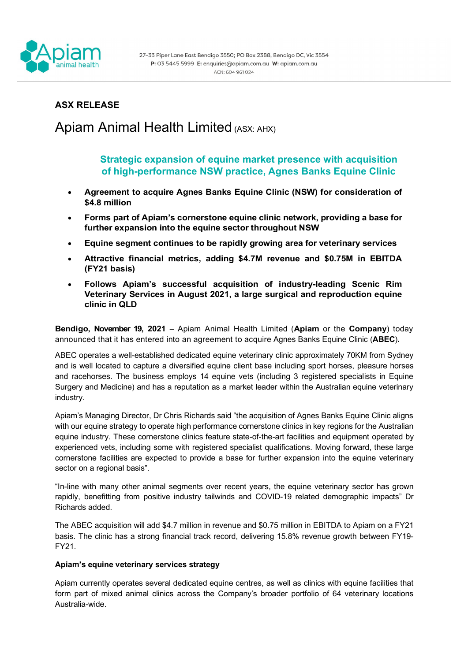

## **ASX RELEASE**

# Apiam Animal Health Limited (ASX: AHX)

**Strategic expansion of equine market presence with acquisition of high-performance NSW practice, Agnes Banks Equine Clinic**

- **Agreement to acquire Agnes Banks Equine Clinic (NSW) for consideration of \$4.8 million**
- **Forms part of Apiam's cornerstone equine clinic network, providing a base for further expansion into the equine sector throughout NSW**
- **Equine segment continues to be rapidly growing area for veterinary services**
- **Attractive financial metrics, adding \$4.7M revenue and \$0.75M in EBITDA (FY21 basis)**
- **Follows Apiam's successful acquisition of industry-leading Scenic Rim Veterinary Services in August 2021, a large surgical and reproduction equine clinic in QLD**

**Bendigo, November 19, 2021** – Apiam Animal Health Limited (**Apiam** or the **Company**) today announced that it has entered into an agreement to acquire Agnes Banks Equine Clinic (**ABEC**)**.**

ABEC operates a well-established dedicated equine veterinary clinic approximately 70KM from Sydney and is well located to capture a diversified equine client base including sport horses, pleasure horses and racehorses. The business employs 14 equine vets (including 3 registered specialists in Equine Surgery and Medicine) and has a reputation as a market leader within the Australian equine veterinary industry.

Apiam's Managing Director, Dr Chris Richards said "the acquisition of Agnes Banks Equine Clinic aligns with our equine strategy to operate high performance cornerstone clinics in key regions for the Australian equine industry. These cornerstone clinics feature state-of-the-art facilities and equipment operated by experienced vets, including some with registered specialist qualifications. Moving forward, these large cornerstone facilities are expected to provide a base for further expansion into the equine veterinary sector on a regional basis".

"In-line with many other animal segments over recent years, the equine veterinary sector has grown rapidly, benefitting from positive industry tailwinds and COVID-19 related demographic impacts" Dr Richards added.

The ABEC acquisition will add \$4.7 million in revenue and \$0.75 million in EBITDA to Apiam on a FY21 basis. The clinic has a strong financial track record, delivering 15.8% revenue growth between FY19- FY21.

### **Apiam's equine veterinary services strategy**

Apiam currently operates several dedicated equine centres, as well as clinics with equine facilities that form part of mixed animal clinics across the Company's broader portfolio of 64 veterinary locations Australia-wide.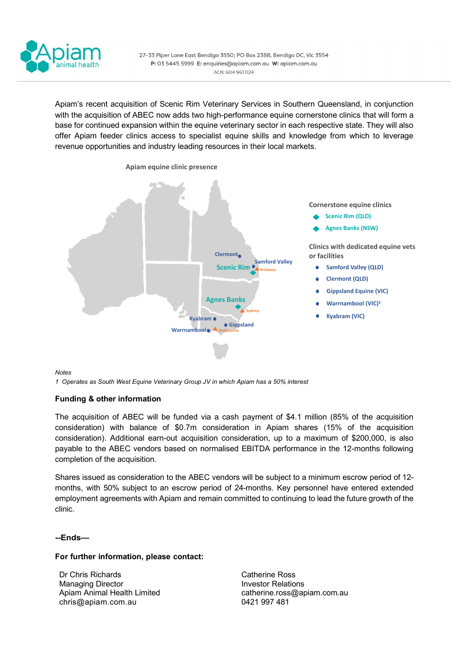

Apiam's recent acquisition of Scenic Rim Veterinary Services in Southern Queensland, in conjunction with the acquisition of ABEC now adds two high-performance equine cornerstone clinics that will form a base for continued expansion within the equine veterinary sector in each respective state. They will also offer Apiam feeder clinics access to specialist equine skills and knowledge from which to leverage revenue opportunities and industry leading resources in their local markets.



*Notes*

*1 Operates as South West Equine Veterinary Group JV in which Apiam has a 50% interest*

### **Funding & other information**

The acquisition of ABEC will be funded via a cash payment of \$4.1 million (85% of the acquisition consideration) with balance of \$0.7m consideration in Apiam shares (15% of the acquisition consideration). Additional earn-out acquisition consideration, up to a maximum of \$200,000, is also payable to the ABEC vendors based on normalised EBITDA performance in the 12-months following completion of the acquisition.

Shares issued as consideration to the ABEC vendors will be subject to a minimum escrow period of 12 months, with 50% subject to an escrow period of 24-months. Key personnel have entered extended employment agreements with Apiam and remain committed to continuing to lead the future growth of the clinic.

### **--Ends—**

#### **For further information, please contact:**

Dr Chris Richards Managing Director Apiam Animal Health Limited [chris@apiam.com.au](mailto:chris@apiam.com.au)

Catherine Ross Investor Relations [catherine.ross@apiam.com.au](mailto:catherine.ross@apiam.com.au) 0421 997 481